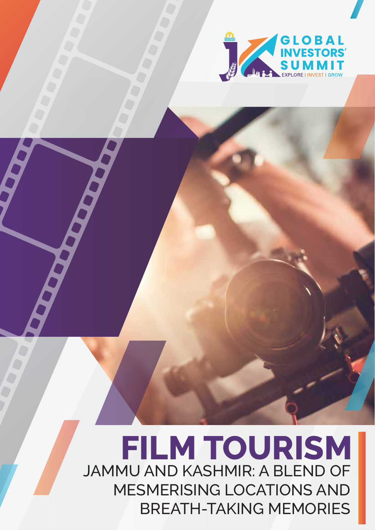

# **FILM TOURISM** JAMMU AND KASHMIR: A BLEND OF MESMERISING LOCATIONS AND BREATH-TAKING MEMORIES

J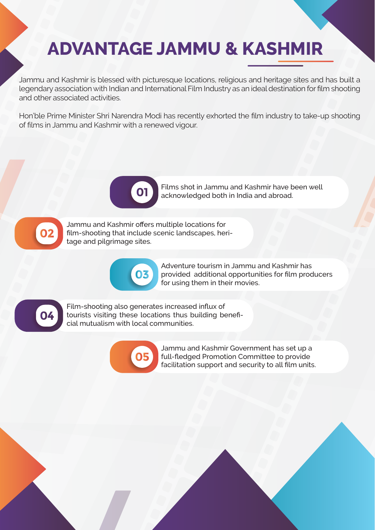## **ADVANTAGE JAMMU & KASHMIR**

Jammu and Kashmir is blessed with picturesque locations, religious and heritage sites and has built a legendary association with Indian and International Film Industry as an ideal destination for film shooting and other associated activities.

Hon'ble Prime Minister Shri Narendra Modi has recently exhorted the film industry to take-up shooting of films in Jammu and Kashmir with a renewed vigour.



Films shot in Jammu and Kashmir have been well acknowledged both in India and abroad.



Jammu and Kashmir offers multiple locations for film-shooting that include scenic landscapes, heritage and pilgrimage sites.



Adventure tourism in Jammu and Kashmir has provided additional opportunities for film producers for using them in their movies.



Film-shooting also generates increased influx of tourists visiting these locations thus building beneficial mutualism with local communities.



Jammu and Kashmir Government has set up a full-fledged Promotion Committee to provide facilitation support and security to all film units.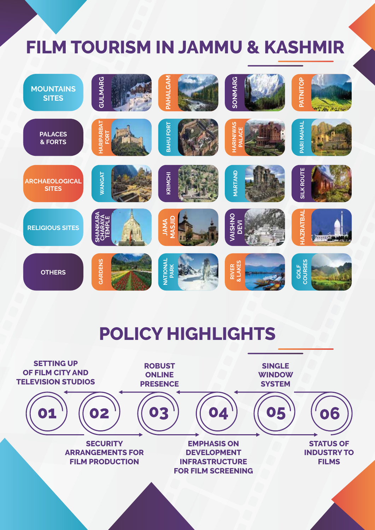## **FILM TOURISM IN JAMMU & KASHMIR**



### **POLICY HIGHLIGHTS**